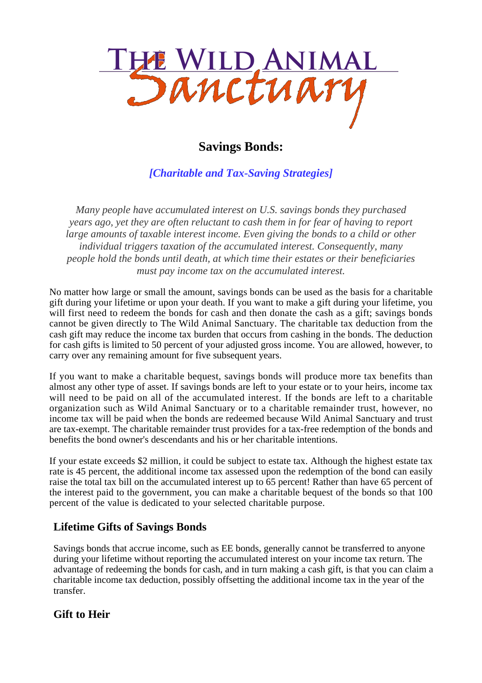

# **Savings Bonds:**

*[Charitable and Tax-Saving Strategies]*

*Many people have accumulated interest on U.S. savings bonds they purchased years ago, yet they are often reluctant to cash them in for fear of having to report large amounts of taxable interest income. Even giving the bonds to a child or other individual triggers taxation of the accumulated interest. Consequently, many people hold the bonds until death, at which time their estates or their beneficiaries must pay income tax on the accumulated interest.*

No matter how large or small the amount, savings bonds can be used as the basis for a charitable gift during your lifetime or upon your death. If you want to make a gift during your lifetime, you will first need to redeem the bonds for cash and then donate the cash as a gift; savings bonds cannot be given directly to The Wild Animal Sanctuary. The charitable tax deduction from the cash gift may reduce the income tax burden that occurs from cashing in the bonds. The deduction for cash gifts is limited to 50 percent of your adjusted gross income. You are allowed, however, to carry over any remaining amount for five subsequent years.

If you want to make a charitable bequest, savings bonds will produce more tax benefits than almost any other type of asset. If savings bonds are left to your estate or to your heirs, income tax will need to be paid on all of the accumulated interest. If the bonds are left to a charitable organization such as Wild Animal Sanctuary or to a charitable remainder trust, however, no income tax will be paid when the bonds are redeemed because Wild Animal Sanctuary and trust are tax-exempt. The charitable remainder trust provides for a tax-free redemption of the bonds and benefits the bond owner's descendants and his or her charitable intentions.

If your estate exceeds \$2 million, it could be subject to estate tax. Although the highest estate tax rate is 45 percent, the additional income tax assessed upon the redemption of the bond can easily raise the total tax bill on the accumulated interest up to 65 percent! Rather than have 65 percent of the interest paid to the government, you can make a charitable bequest of the bonds so that 100 percent of the value is dedicated to your selected charitable purpose.

### **Lifetime Gifts of Savings Bonds**

Savings bonds that accrue income, such as EE bonds, generally cannot be transferred to anyone during your lifetime without reporting the accumulated interest on your income tax return. The advantage of redeeming the bonds for cash, and in turn making a cash gift, is that you can claim a charitable income tax deduction, possibly offsetting the additional income tax in the year of the transfer.

### **Gift to Heir**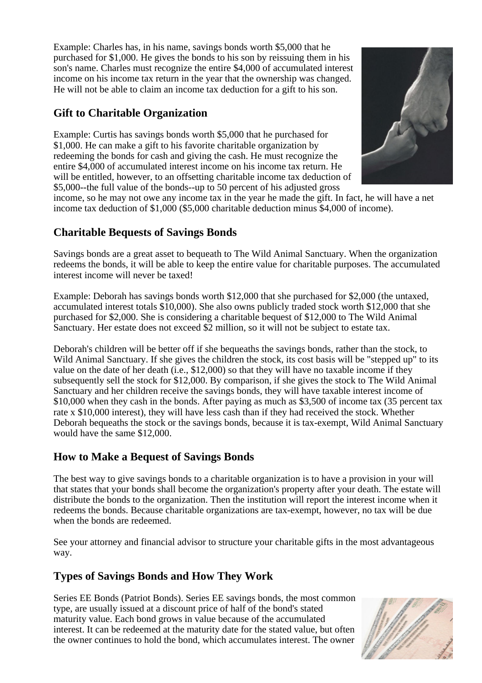Example: Charles has, in his name, savings bonds worth \$5,000 that he purchased for \$1,000. He gives the bonds to his son by reissuing them in his son's name. Charles must recognize the entire \$4,000 of accumulated interest income on his income tax return in the year that the ownership was changed. He will not be able to claim an income tax deduction for a gift to his son.

## **Gift to Charitable Organization**

Example: Curtis has savings bonds worth \$5,000 that he purchased for \$1,000. He can make a gift to his favorite charitable organization by redeeming the bonds for cash and giving the cash. He must recognize the entire \$4,000 of accumulated interest income on his income tax return. He will be entitled, however, to an offsetting charitable income tax deduction of \$5,000--the full value of the bonds--up to 50 percent of his adjusted gross



income, so he may not owe any income tax in the year he made the gift. In fact, he will have a net income tax deduction of \$1,000 (\$5,000 charitable deduction minus \$4,000 of income).

### **Charitable Bequests of Savings Bonds**

Savings bonds are a great asset to bequeath to The Wild Animal Sanctuary. When the organization redeems the bonds, it will be able to keep the entire value for charitable purposes. The accumulated interest income will never be taxed!

Example: Deborah has savings bonds worth \$12,000 that she purchased for \$2,000 (the untaxed, accumulated interest totals \$10,000). She also owns publicly traded stock worth \$12,000 that she purchased for \$2,000. She is considering a charitable bequest of \$12,000 to The Wild Animal Sanctuary. Her estate does not exceed \$2 million, so it will not be subject to estate tax.

Deborah's children will be better off if she bequeaths the savings bonds, rather than the stock, to Wild Animal Sanctuary. If she gives the children the stock, its cost basis will be "stepped up" to its value on the date of her death (i.e., \$12,000) so that they will have no taxable income if they subsequently sell the stock for \$12,000. By comparison, if she gives the stock to The Wild Animal Sanctuary and her children receive the savings bonds, they will have taxable interest income of \$10,000 when they cash in the bonds. After paying as much as \$3,500 of income tax (35 percent tax rate x \$10,000 interest), they will have less cash than if they had received the stock. Whether Deborah bequeaths the stock or the savings bonds, because it is tax-exempt, Wild Animal Sanctuary would have the same \$12,000.

### **How to Make a Bequest of Savings Bonds**

The best way to give savings bonds to a charitable organization is to have a provision in your will that states that your bonds shall become the organization's property after your death. The estate will distribute the bonds to the organization. Then the institution will report the interest income when it redeems the bonds. Because charitable organizations are tax-exempt, however, no tax will be due when the bonds are redeemed.

See your attorney and financial advisor to structure your charitable gifts in the most advantageous way.

# **Types of Savings Bonds and How They Work**

Series EE Bonds (Patriot Bonds). Series EE savings bonds, the most common type, are usually issued at a discount price of half of the bond's stated maturity value. Each bond grows in value because of the accumulated interest. It can be redeemed at the maturity date for the stated value, but often the owner continues to hold the bond, which accumulates interest. The owner